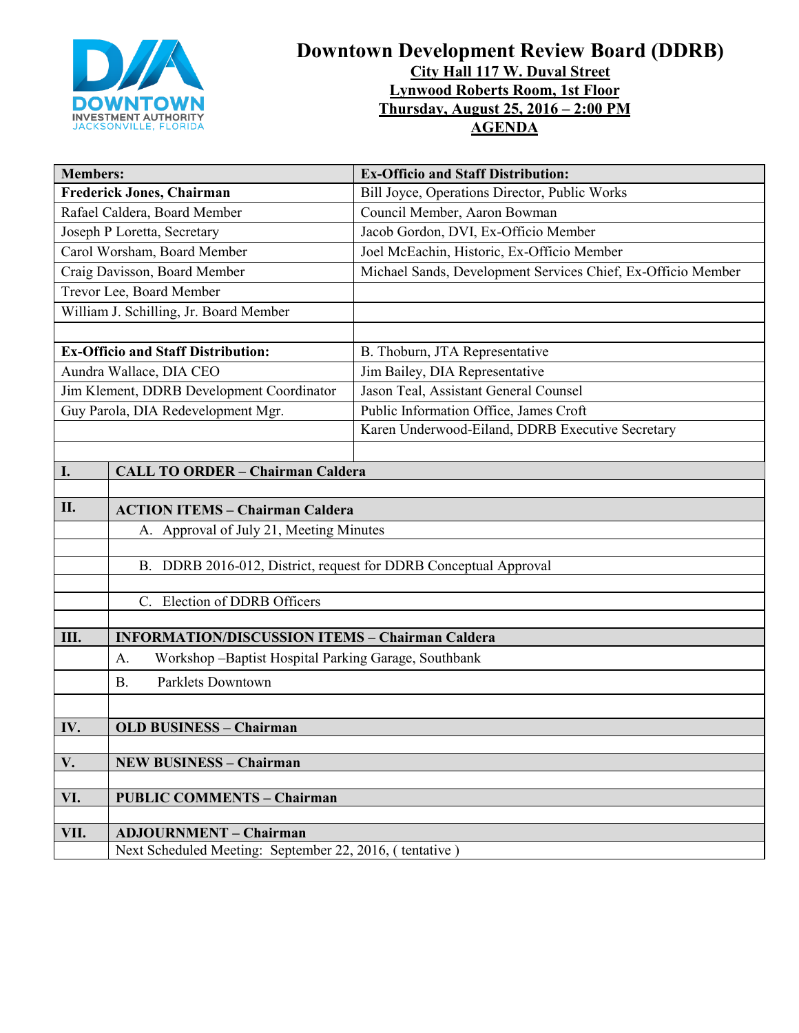

# **Downtown Development Review Board (DDRB) City Hall 117 W. Duval Street Lynwood Roberts Room, 1st Floor Thursday, August 25, 2016 – 2:00 PM AGENDA**

| <b>Members:</b>                           |                                                                                                                       | <b>Ex-Officio and Staff Distribution:</b>                    |  |
|-------------------------------------------|-----------------------------------------------------------------------------------------------------------------------|--------------------------------------------------------------|--|
| <b>Frederick Jones, Chairman</b>          |                                                                                                                       | Bill Joyce, Operations Director, Public Works                |  |
| Rafael Caldera, Board Member              |                                                                                                                       | Council Member, Aaron Bowman                                 |  |
| Joseph P Loretta, Secretary               |                                                                                                                       | Jacob Gordon, DVI, Ex-Officio Member                         |  |
| Carol Worsham, Board Member               |                                                                                                                       | Joel McEachin, Historic, Ex-Officio Member                   |  |
| Craig Davisson, Board Member              |                                                                                                                       | Michael Sands, Development Services Chief, Ex-Officio Member |  |
| Trevor Lee, Board Member                  |                                                                                                                       |                                                              |  |
| William J. Schilling, Jr. Board Member    |                                                                                                                       |                                                              |  |
|                                           |                                                                                                                       |                                                              |  |
| <b>Ex-Officio and Staff Distribution:</b> |                                                                                                                       | B. Thoburn, JTA Representative                               |  |
| Aundra Wallace, DIA CEO                   |                                                                                                                       | Jim Bailey, DIA Representative                               |  |
| Jim Klement, DDRB Development Coordinator |                                                                                                                       | Jason Teal, Assistant General Counsel                        |  |
| Guy Parola, DIA Redevelopment Mgr.        |                                                                                                                       | Public Information Office, James Croft                       |  |
|                                           |                                                                                                                       | Karen Underwood-Eiland, DDRB Executive Secretary             |  |
|                                           |                                                                                                                       |                                                              |  |
| I.                                        | <b>CALL TO ORDER - Chairman Caldera</b>                                                                               |                                                              |  |
|                                           |                                                                                                                       |                                                              |  |
| II.                                       | <b>ACTION ITEMS - Chairman Caldera</b>                                                                                |                                                              |  |
|                                           | A. Approval of July 21, Meeting Minutes                                                                               |                                                              |  |
|                                           |                                                                                                                       |                                                              |  |
|                                           | B. DDRB 2016-012, District, request for DDRB Conceptual Approval                                                      |                                                              |  |
|                                           |                                                                                                                       |                                                              |  |
|                                           | C. Election of DDRB Officers                                                                                          |                                                              |  |
| III.                                      |                                                                                                                       |                                                              |  |
|                                           | <b>INFORMATION/DISCUSSION ITEMS - Chairman Caldera</b><br>A.<br>Workshop - Baptist Hospital Parking Garage, Southbank |                                                              |  |
|                                           |                                                                                                                       |                                                              |  |
|                                           | <b>Parklets Downtown</b><br>Β.                                                                                        |                                                              |  |
|                                           |                                                                                                                       |                                                              |  |
| IV.                                       | <b>OLD BUSINESS - Chairman</b>                                                                                        |                                                              |  |
|                                           |                                                                                                                       |                                                              |  |
| V.                                        | <b>NEW BUSINESS - Chairman</b>                                                                                        |                                                              |  |
|                                           |                                                                                                                       |                                                              |  |
| VI.                                       | <b>PUBLIC COMMENTS - Chairman</b>                                                                                     |                                                              |  |
| VII.                                      | <b>ADJOURNMENT - Chairman</b>                                                                                         |                                                              |  |
|                                           | Next Scheduled Meeting: September 22, 2016, (tentative)                                                               |                                                              |  |
|                                           |                                                                                                                       |                                                              |  |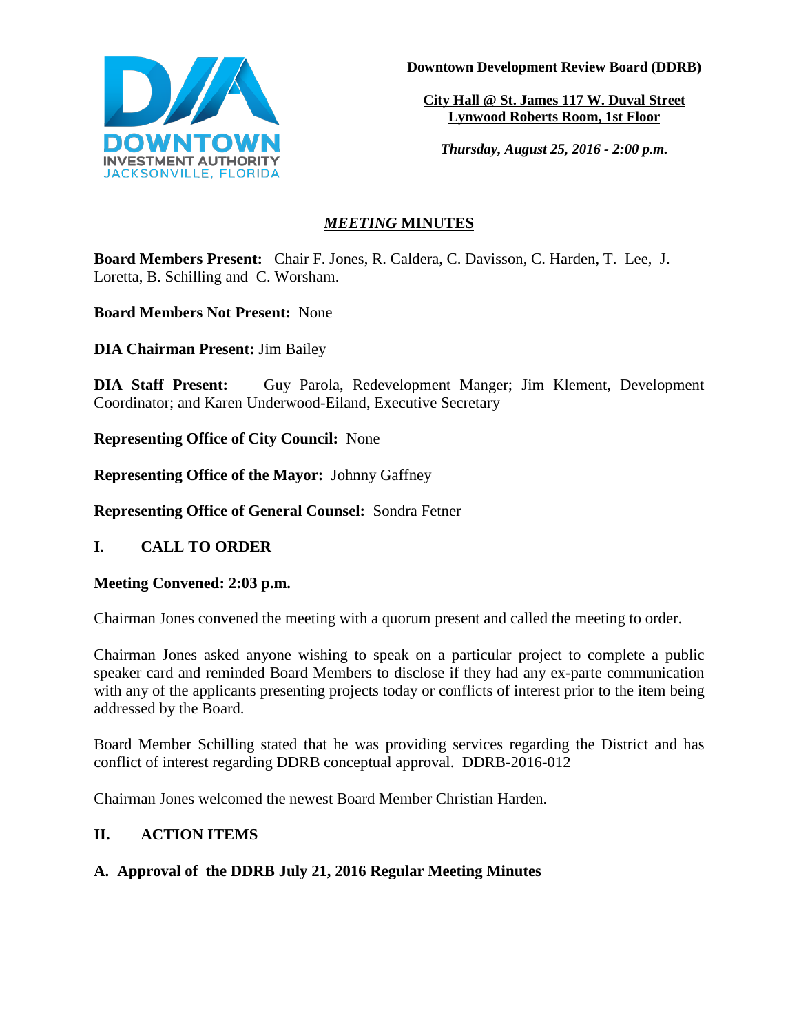

**Downtown Development Review Board (DDRB)**

**City Hall @ St. James 117 W. Duval Street Lynwood Roberts Room, 1st Floor** 

*Thursday, August 25, 2016 - 2:00 p.m.*

## *MEETING* **MINUTES**

**Board Members Present:** Chair F. Jones, R. Caldera, C. Davisson, C. Harden, T. Lee, J. Loretta, B. Schilling and C. Worsham.

**Board Members Not Present:** None

**DIA Chairman Present:** Jim Bailey

**DIA Staff Present:** Guy Parola, Redevelopment Manger; Jim Klement, Development Coordinator; and Karen Underwood-Eiland, Executive Secretary

**Representing Office of City Council:** None

**Representing Office of the Mayor:** Johnny Gaffney

**Representing Office of General Counsel:** Sondra Fetner

**I. CALL TO ORDER**

## **Meeting Convened: 2:03 p.m.**

Chairman Jones convened the meeting with a quorum present and called the meeting to order.

Chairman Jones asked anyone wishing to speak on a particular project to complete a public speaker card and reminded Board Members to disclose if they had any ex-parte communication with any of the applicants presenting projects today or conflicts of interest prior to the item being addressed by the Board.

Board Member Schilling stated that he was providing services regarding the District and has conflict of interest regarding DDRB conceptual approval. DDRB-2016-012

Chairman Jones welcomed the newest Board Member Christian Harden.

## **II. ACTION ITEMS**

## **A. Approval of the DDRB July 21, 2016 Regular Meeting Minutes**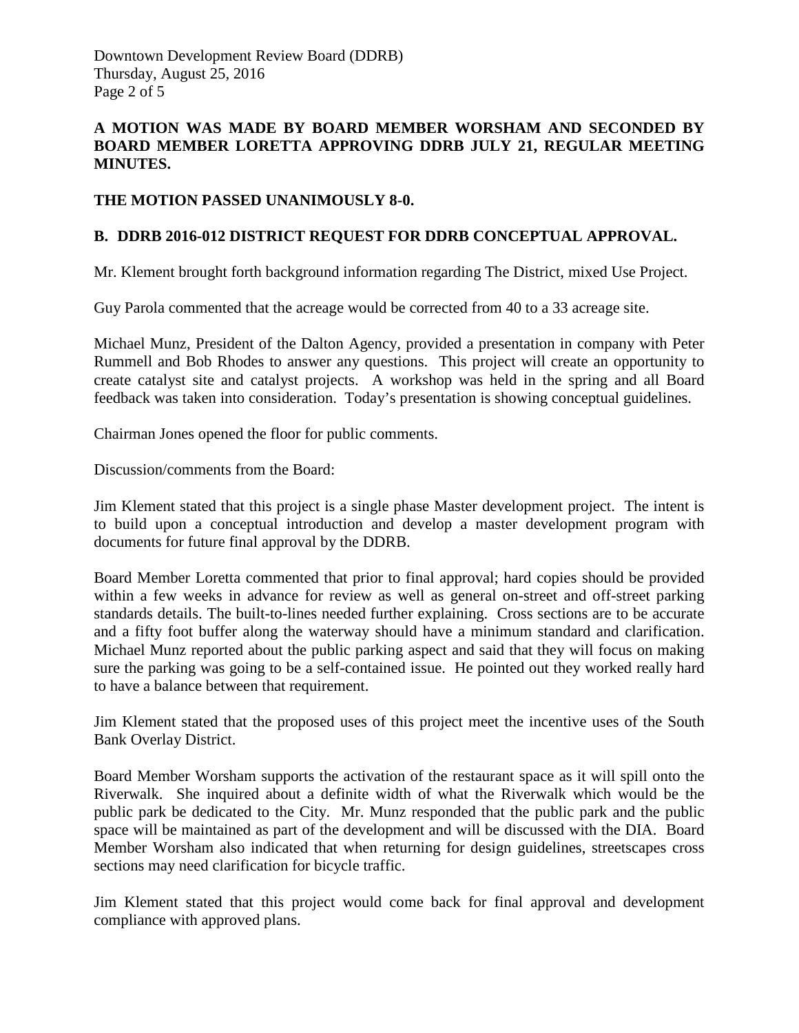### **A MOTION WAS MADE BY BOARD MEMBER WORSHAM AND SECONDED BY BOARD MEMBER LORETTA APPROVING DDRB JULY 21, REGULAR MEETING MINUTES.**

#### **THE MOTION PASSED UNANIMOUSLY 8-0.**

#### **B. DDRB 2016-012 DISTRICT REQUEST FOR DDRB CONCEPTUAL APPROVAL.**

Mr. Klement brought forth background information regarding The District, mixed Use Project.

Guy Parola commented that the acreage would be corrected from 40 to a 33 acreage site.

Michael Munz, President of the Dalton Agency, provided a presentation in company with Peter Rummell and Bob Rhodes to answer any questions. This project will create an opportunity to create catalyst site and catalyst projects. A workshop was held in the spring and all Board feedback was taken into consideration. Today's presentation is showing conceptual guidelines.

Chairman Jones opened the floor for public comments.

Discussion/comments from the Board:

Jim Klement stated that this project is a single phase Master development project. The intent is to build upon a conceptual introduction and develop a master development program with documents for future final approval by the DDRB.

Board Member Loretta commented that prior to final approval; hard copies should be provided within a few weeks in advance for review as well as general on-street and off-street parking standards details. The built-to-lines needed further explaining. Cross sections are to be accurate and a fifty foot buffer along the waterway should have a minimum standard and clarification. Michael Munz reported about the public parking aspect and said that they will focus on making sure the parking was going to be a self-contained issue. He pointed out they worked really hard to have a balance between that requirement.

Jim Klement stated that the proposed uses of this project meet the incentive uses of the South Bank Overlay District.

Board Member Worsham supports the activation of the restaurant space as it will spill onto the Riverwalk. She inquired about a definite width of what the Riverwalk which would be the public park be dedicated to the City. Mr. Munz responded that the public park and the public space will be maintained as part of the development and will be discussed with the DIA. Board Member Worsham also indicated that when returning for design guidelines, streetscapes cross sections may need clarification for bicycle traffic.

Jim Klement stated that this project would come back for final approval and development compliance with approved plans.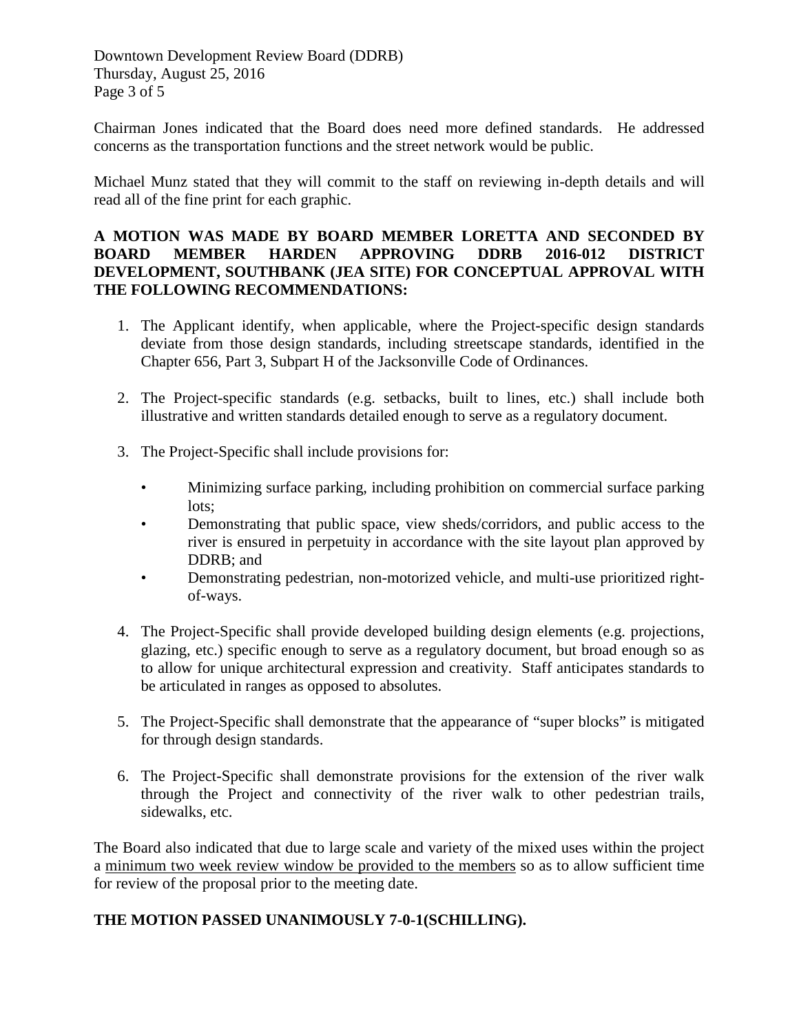Downtown Development Review Board (DDRB) Thursday, August 25, 2016 Page 3 of 5

Chairman Jones indicated that the Board does need more defined standards. He addressed concerns as the transportation functions and the street network would be public.

Michael Munz stated that they will commit to the staff on reviewing in-depth details and will read all of the fine print for each graphic.

#### **A MOTION WAS MADE BY BOARD MEMBER LORETTA AND SECONDED BY BOARD MEMBER HARDEN APPROVING DDRB 2016-012 DISTRICT DEVELOPMENT, SOUTHBANK (JEA SITE) FOR CONCEPTUAL APPROVAL WITH THE FOLLOWING RECOMMENDATIONS:**

- 1. The Applicant identify, when applicable, where the Project-specific design standards deviate from those design standards, including streetscape standards, identified in the Chapter 656, Part 3, Subpart H of the Jacksonville Code of Ordinances.
- 2. The Project-specific standards (e.g. setbacks, built to lines, etc.) shall include both illustrative and written standards detailed enough to serve as a regulatory document.
- 3. The Project-Specific shall include provisions for:
	- Minimizing surface parking, including prohibition on commercial surface parking lots;
	- Demonstrating that public space, view sheds/corridors, and public access to the river is ensured in perpetuity in accordance with the site layout plan approved by DDRB; and
	- Demonstrating pedestrian, non-motorized vehicle, and multi-use prioritized rightof-ways.
- 4. The Project-Specific shall provide developed building design elements (e.g. projections, glazing, etc.) specific enough to serve as a regulatory document, but broad enough so as to allow for unique architectural expression and creativity. Staff anticipates standards to be articulated in ranges as opposed to absolutes.
- 5. The Project-Specific shall demonstrate that the appearance of "super blocks" is mitigated for through design standards.
- 6. The Project-Specific shall demonstrate provisions for the extension of the river walk through the Project and connectivity of the river walk to other pedestrian trails, sidewalks, etc.

The Board also indicated that due to large scale and variety of the mixed uses within the project a minimum two week review window be provided to the members so as to allow sufficient time for review of the proposal prior to the meeting date.

### **THE MOTION PASSED UNANIMOUSLY 7-0-1(SCHILLING).**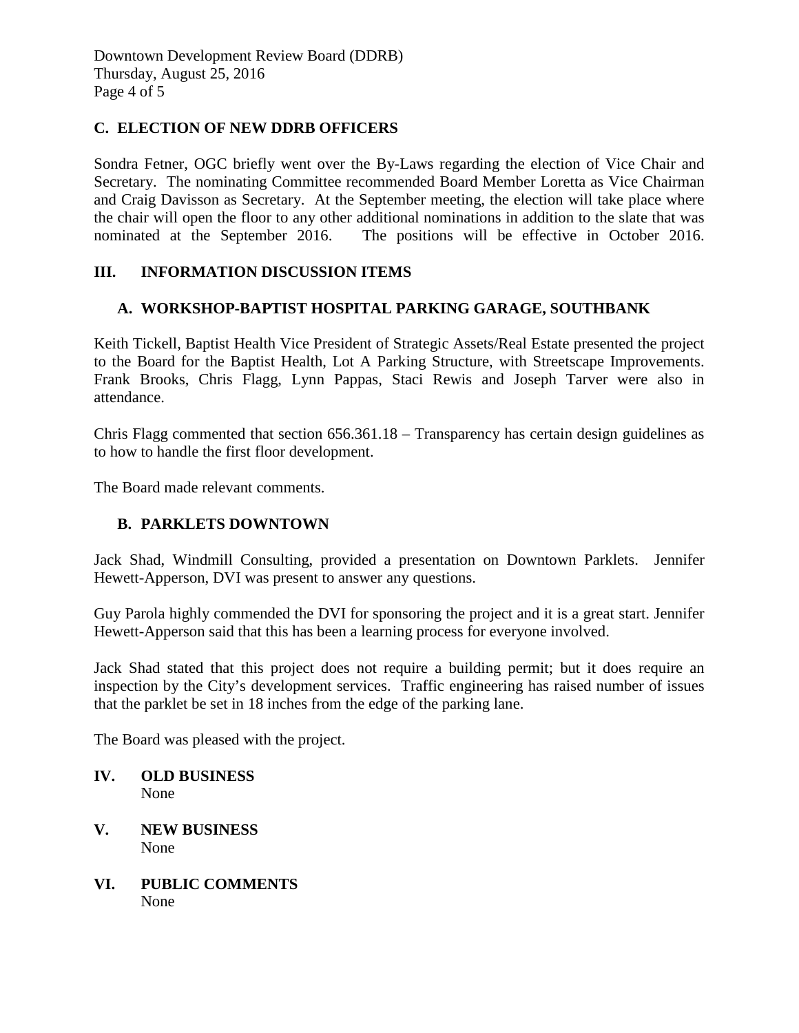### **C. ELECTION OF NEW DDRB OFFICERS**

Sondra Fetner, OGC briefly went over the By-Laws regarding the election of Vice Chair and Secretary. The nominating Committee recommended Board Member Loretta as Vice Chairman and Craig Davisson as Secretary. At the September meeting, the election will take place where the chair will open the floor to any other additional nominations in addition to the slate that was nominated at the September 2016. The positions will be effective in October 2016.

### **III. INFORMATION DISCUSSION ITEMS**

### **A. WORKSHOP-BAPTIST HOSPITAL PARKING GARAGE, SOUTHBANK**

Keith Tickell, Baptist Health Vice President of Strategic Assets/Real Estate presented the project to the Board for the Baptist Health, Lot A Parking Structure, with Streetscape Improvements. Frank Brooks, Chris Flagg, Lynn Pappas, Staci Rewis and Joseph Tarver were also in attendance.

Chris Flagg commented that section 656.361.18 – Transparency has certain design guidelines as to how to handle the first floor development.

The Board made relevant comments.

#### **B. PARKLETS DOWNTOWN**

Jack Shad, Windmill Consulting, provided a presentation on Downtown Parklets. Jennifer Hewett-Apperson, DVI was present to answer any questions.

Guy Parola highly commended the DVI for sponsoring the project and it is a great start. Jennifer Hewett-Apperson said that this has been a learning process for everyone involved.

Jack Shad stated that this project does not require a building permit; but it does require an inspection by the City's development services. Traffic engineering has raised number of issues that the parklet be set in 18 inches from the edge of the parking lane.

The Board was pleased with the project.

- **IV. OLD BUSINESS** None
- **V. NEW BUSINESS** None
- **VI. PUBLIC COMMENTS** None